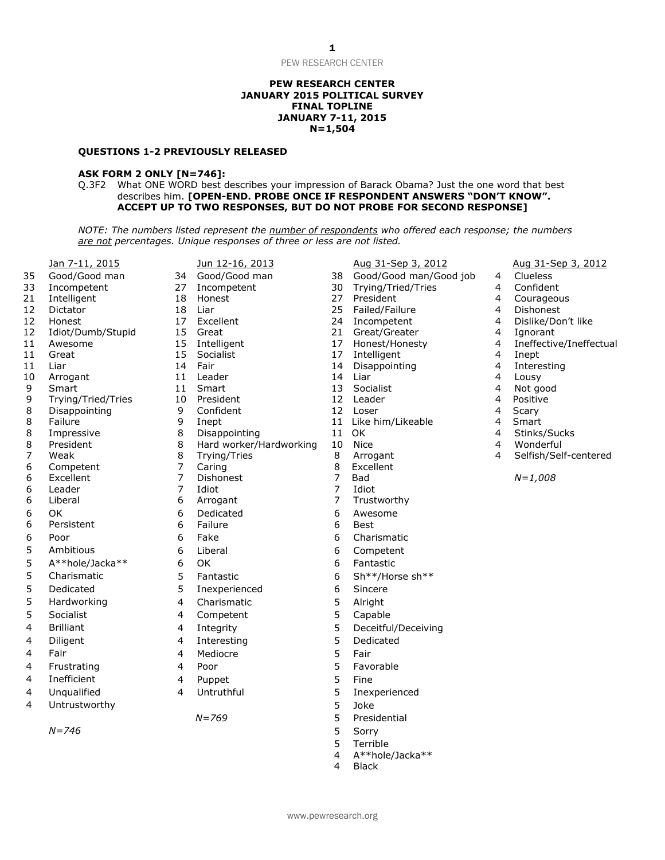#### **PEW RESEARCH CENTER JANUARY 2015 POLITICAL SURVEY FINAL TOPLINE JANUARY 7-11, 2015 N=1,504**

#### **QUESTIONS 1-2 PREVIOUSLY RELEASED**

#### **ASK FORM 2 ONLY [N=746]:**

Q.3F2 What ONE WORD best describes your impression of Barack Obama? Just the one word that best describes him. **[OPEN-END. PROBE ONCE IF RESPONDENT ANSWERS "DON'T KNOW". ACCEPT UP TO TWO RESPONSES, BUT DO NOT PROBE FOR SECOND RESPONSE]**

*NOTE: The numbers listed represent the number of respondents who offered each response; the numbers are not percentages. Unique responses of three or less are not listed.*

|                                       | <u>Jan 7-11, 2015</u>   |
|---------------------------------------|-------------------------|
| 35                                    | Good/Good man           |
| 33                                    | Incompetent             |
| $\overline{21}$                       | Intelligent             |
| 12                                    | Dictator                |
| 12                                    | Honest                  |
| 12                                    | Idiot/Dumb/Stupid       |
| 11                                    | Awesome                 |
| 11                                    | Great                   |
| 11                                    | Liar                    |
| 10                                    | Arrogant                |
| 9                                     | Smart                   |
| 9                                     | Trying/Tried/Tries      |
| 8                                     | Disappointing           |
| 8<br>8                                | Failure                 |
|                                       | Impressive<br>President |
| $\begin{array}{c} 8 \\ 7 \end{array}$ | Weak                    |
| 6                                     | Competent               |
| 6                                     | Excellent               |
| 6                                     | Leader                  |
| 6                                     | Liberal                 |
| 6                                     | ΟK                      |
| 6                                     | Persistent              |
|                                       | Poor                    |
|                                       | Ambitious               |
|                                       | A**hole/Jacka**         |
|                                       | Charismatic             |
|                                       | Dedicated               |
| 6555555                               |                         |
|                                       | Hardworking             |
|                                       | Socialist               |
| $\overline{\mathbf{4}}$               | <b>Brilliant</b>        |
| 4                                     | Diligent                |
| 4                                     | Fair                    |
| $\overline{4}$                        | Frustrating             |
| 4                                     | Inefficient             |
| 4                                     | Unqualified             |
|                                       |                         |

|                 |                    |                                  | are not percentages. Unique responses of three or less are not listed. |        |                     |
|-----------------|--------------------|----------------------------------|------------------------------------------------------------------------|--------|---------------------|
|                 | Jan 7-11, 2015     |                                  | Jun 12-16, 2013                                                        |        | Aug 31-Sep 3, 2012  |
| 35              | Good/Good man      | 34                               | Good/Good man                                                          | 38     | Good/Good man/Go    |
| 33              | Incompetent        | 27                               | Incompetent                                                            | 30     | Trying/Tried/Tries  |
| $\overline{21}$ | Intelligent        | 18                               | Honest                                                                 | 27     | President           |
| 12              | Dictator           | 18                               | Liar                                                                   | 25     | Failed/Failure      |
| 12              | Honest             | 17                               | Excellent                                                              | 24     | Incompetent         |
| 12              | Idiot/Dumb/Stupid  | 15                               | Great                                                                  | 21     | Great/Greater       |
| 11              | Awesome            | 15                               | Intelligent                                                            | 17     | Honest/Honesty      |
| 11              | Great              | 15                               | Socialist                                                              | 17     | Intelligent         |
| 11              | Liar               | 14                               | Fair                                                                   | 14     | Disappointing       |
| 10              | Arrogant           | 11                               | Leader                                                                 | 14     | Liar                |
| 9               | Smart              | 11                               | Smart                                                                  | 13     | Socialist           |
| 9               | Trying/Tried/Tries | 10                               | President                                                              | 12     | Leader              |
| 8               | Disappointing      | 9                                | Confident                                                              | 12     | Loser               |
| 8               | Failure            | 9                                | Inept                                                                  | 11     | Like him/Likeable   |
| 8               | Impressive         | 8                                | Disappointing                                                          | 11     | 0K                  |
| 8               | President          | 8                                | Hard worker/Hardworking                                                | 10     | <b>Nice</b>         |
| 7               | Weak               | 8                                | Trying/Tries                                                           | 8      | Arrogant            |
| 6               | Competent          | $\overline{7}$                   | Caring                                                                 | 8      | Excellent           |
| 6               | Excellent          | $\overline{7}$<br>$\overline{7}$ | Dishonest                                                              | 7<br>7 | <b>Bad</b>          |
| 6<br>6          | Leader<br>Liberal  | 6                                | Idiot                                                                  | 7      | Idiot               |
|                 |                    |                                  | Arrogant                                                               |        | Trustworthy         |
| 6               | OK                 | 6                                | Dedicated                                                              | 6      | Awesome             |
| 6               | Persistent         | 6                                | Failure                                                                | 6      | Best                |
| 6               | Poor               | 6                                | Fake                                                                   | 6      | Charismatic         |
| 5               | Ambitious          | 6                                | Liberal                                                                | 6      | Competent           |
| 5               | A**hole/Jacka**    | 6                                | OK                                                                     | 6      | Fantastic           |
| 5               | Charismatic        | 5                                | Fantastic                                                              | 6      | Sh**/Horse sh**     |
| 5               | Dedicated          | 5                                | Inexperienced                                                          | 6      | Sincere             |
| 5               | Hardworking        | 4                                | Charismatic                                                            | 5      | Alright             |
| 5               | Socialist          | 4                                | Competent                                                              | 5      | Capable             |
| 4               | <b>Brilliant</b>   | 4                                | Integrity                                                              | 5      | Deceitful/Deceiving |
| 4               | Diligent           | 4                                | Interesting                                                            | 5      | Dedicated           |
| 4               | Fair               | $\overline{4}$                   |                                                                        | 5      | Fair                |
|                 |                    |                                  | Mediocre                                                               |        |                     |
| 4               | Frustrating        | 4                                | Poor                                                                   | 5      | Favorable           |
| 4               | Inefficient        | 4                                | Puppet                                                                 | 5      | Fine                |
| 4               | Unqualified        | 4                                | Untruthful                                                             | 5      | Inexperienced       |
| 4               | Untrustworthy      |                                  |                                                                        | 5      | Joke                |
|                 |                    |                                  | $N = 769$                                                              | 5      | Presidential        |
|                 | $N = 746$          |                                  |                                                                        | 5      | Sorry               |
|                 |                    |                                  |                                                                        |        |                     |

34 Good/Good man 38 Good/Good man/Good job 4 Clueless<br>27 Incompetent 30 Trving/Tried/Tries 4 Confident Trying/Tried/Tries 4 Confident<br>President 34 Courageous 21 Intelligent 18 Honest 27 President 4 Courageous 18 Liar 18 Dishonest 25 Failed/Failure 18 A Dishonest 17 Excellent 24 Incompetent 4 Dislike/Don't like 15 Great 15 Creat/Greater 21 Great/Greater 15 Australian 4 Ignorant 15 Intelligent 17 Honest/Honesty 14 Ineffective/Ineffectual 11 Great 15 Socialist 17 Intelligent 4 Inept 14 Fair 14 Disappointing 14 Interesting<br>11 Leader 14 Liar 14 Liar 14 Lousy 10 Arrogant 11 Leader 14 Liar 14 Liar 14 Lousy 9 Smart 11 Smart 13 Socialist 4 Not good 9 Trying/Tried/Tries 10 President 12 Leader 4 Positive 8 Disappointing 5 9 Confident 5 12 Loser 5 12 Hoster 4 Scary 9 Inept 11 Like him/Likeable 4 Smart 8 Impressive 8 Disappointing 11 OK 4 Stinks/Sucks 8 President 8 Hard worker/Hardworking 10 Nice 4 Wonderful 8 Trying/Tries 8 Arrogant 4 Selfish/Self-centered 6 Excellent 7 Dishonest 7 Bad *N=1,008*

- Presidential
- 
- 5 Terrible
- 4 A\*\*hole/Jacka\*\*
- **Black**

| Aug 31-Sep 3, 2012 | Aug 31-Sep 3, 2012 |
|--------------------|--------------------|
|                    |                    |

- 
- 
- 
- 
- 
-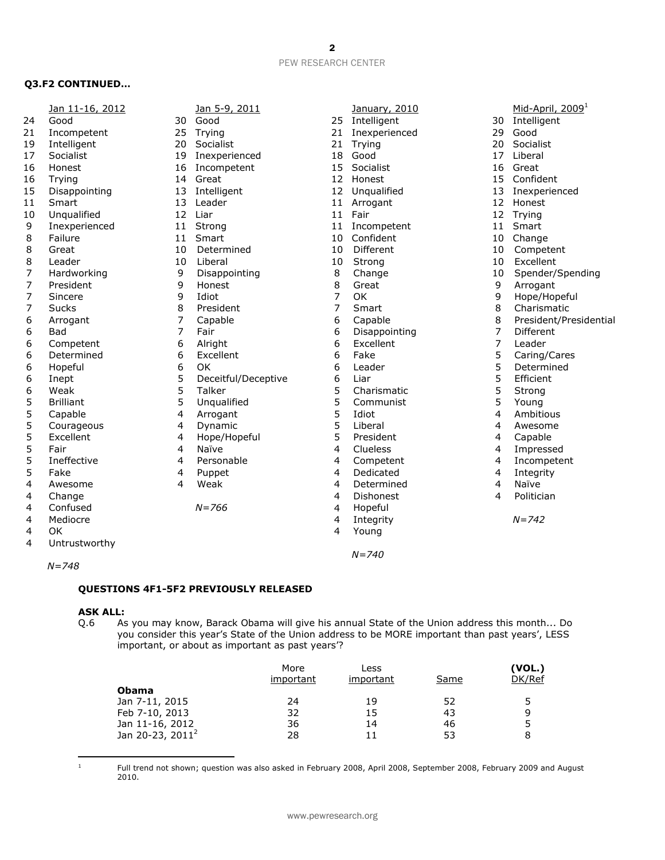# **Q3.F2 CONTINUED…**

|    | Jan 11-16, 2012  |                | Jan 5-9, 2011       |                | January, 2010  |         | Mid-April, 2009 <sup>1</sup> |
|----|------------------|----------------|---------------------|----------------|----------------|---------|------------------------------|
| 24 | Good             | 30             | Good                | 25             | Intelligent    | 30      | Intelligent                  |
| 21 | Incompetent      | 25             | Trying              | 21             | Inexperienced  | 29      | Good                         |
| 19 | Intelligent      | 20             | Socialist           | 21             | Trying         | 20      | Socialist                    |
| 17 | Socialist        | 19             | Inexperienced       | 18             | Good           | 17      | Liberal                      |
| 16 | Honest           | 16             | Incompetent         | 15             | Socialist      | 16      | Great                        |
| 16 | Trying           | 14             | Great               | 12             | Honest         | 15      | Confident                    |
| 15 | Disappointing    | 13             | Intelligent         |                | 12 Unqualified | 13      | Inexperienced                |
| 11 | Smart            | 13             | Leader              | 11             | Arrogant       | 12      | Honest                       |
| 10 | Unqualified      | 12             | Liar                | 11             | Fair           | 12      | Trying                       |
| 9  | Inexperienced    | 11             | Strong              | 11             | Incompetent    | 11      | Smart                        |
| 8  | Failure          | 11             | Smart               | 10             | Confident      | 10      | Change                       |
| 8  | Great            | 10             | Determined          | 10             | Different      | 10      | Competent                    |
| 8  | Leader           | 10             | Liberal             | 10             | Strong         | 10      | Excellent                    |
| 7  | Hardworking      | 9              | Disappointing       | 8              | Change         | 10      | Spender/Spending             |
| 7  | President        | 9              | Honest              | 8              | Great          | 9       | Arrogant                     |
| 7  | Sincere          | 9              | Idiot               | 7              | OK             | 9       | Hope/Hopeful                 |
| 7  | <b>Sucks</b>     | 8              | President           | $\overline{7}$ | Smart          | 8       | Charismatic                  |
| 6  | Arrogant         | 7              | Capable             | 6              | Capable        | $\,8\,$ | President/Presidential       |
| 6  | <b>Bad</b>       | 7              | Fair                | 6              | Disappointing  | 7       | <b>Different</b>             |
| 6  | Competent        | 6              | Alright             | 6              | Excellent      | 7       | Leader                       |
| 6  | Determined       | 6              | Excellent           | 6              | Fake           | 5       | Caring/Cares                 |
| 6  | Hopeful          | 6              | OK                  | 6              | Leader         | 5       | Determined                   |
| 6  | Inept            | 5              | Deceitful/Deceptive | 6              | Liar           | 5       | Efficient                    |
| 6  | Weak             | 5              | Talker              | 5              | Charismatic    | 5       | Strong                       |
| 5  | <b>Brilliant</b> | 5              | Ungualified         | 5              | Communist      | 5       | Young                        |
| 5  | Capable          | 4              | Arrogant            | 5              | Idiot          | 4       | Ambitious                    |
| 5  | Courageous       | 4              | Dynamic             | 5              | Liberal        | 4       | Awesome                      |
| 5  | Excellent        | 4              | Hope/Hopeful        | 5              | President      | 4       | Capable                      |
| 5  | Fair             | 4              | Naïve               | $\overline{4}$ | Clueless       | 4       | Impressed                    |
| 5  | Ineffective      | $\overline{4}$ | Personable          | 4              | Competent      | 4       | Incompetent                  |
| 5  | Fake             | 4              | Puppet              | 4              | Dedicated      | 4       | Integrity                    |
| 4  | Awesome          | 4              | Weak                | 4              | Determined     | 4       | Naïve                        |
| 4  | Change           |                |                     | 4              | Dishonest      | 4       | Politician                   |
| 4  | Confused         |                | $N = 766$           | 4              | Hopeful        |         |                              |
| 4  | Mediocre         |                |                     | 4              | Integrity      |         | $N = 742$                    |
| 4  | OK               |                |                     | 4              | Young          |         |                              |
| 4  |                  |                |                     |                |                |         |                              |
|    | Untrustworthy    |                |                     |                |                |         |                              |
|    |                  |                |                     |                | $N = 740$      |         |                              |

*N=748*

## **QUESTIONS 4F1-5F2 PREVIOUSLY RELEASED**

# **ASK ALL:**<br>Q.6 As

As you may know, Barack Obama will give his annual State of the Union address this month... Do you consider this year's State of the Union address to be MORE important than past years', LESS important, or about as important as past years'?

|                              | More<br>important | Less<br>important | Same | (VOL.)<br>DK/Ref |
|------------------------------|-------------------|-------------------|------|------------------|
| <b>Obama</b>                 |                   |                   |      |                  |
| Jan 7-11, 2015               | 24                | 19                | 52   | 5                |
| Feb 7-10, 2013               | 32                | 15                | 43   | q                |
| Jan 11-16, 2012              | 36                | 14                | 46   |                  |
| Jan 20-23, 2011 <sup>2</sup> | 28                | 11                | 53   | 8                |

 Full trend not shown; question was also asked in February 2008, April 2008, September 2008, February 2009 and August 2010.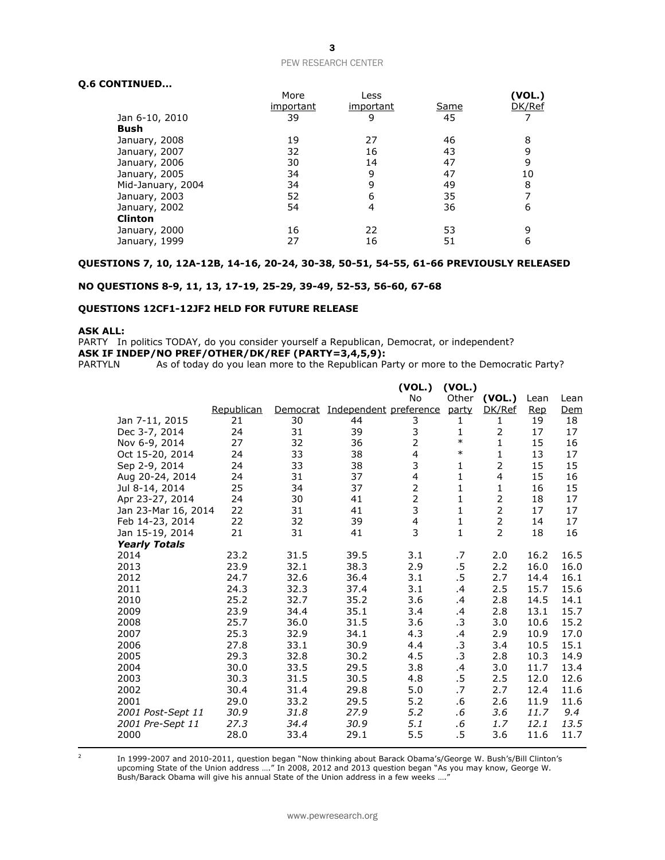## **Q.6 CONTINUED...**

|                   | More      | Less      |             | (VOL.) |
|-------------------|-----------|-----------|-------------|--------|
|                   | important | important | <u>Same</u> | DK/Ref |
| Jan 6-10, 2010    | 39        | 9         | 45          |        |
| Bush              |           |           |             |        |
| January, 2008     | 19        | 27        | 46          | 8      |
| January, 2007     | 32        | 16        | 43          |        |
| January, 2006     | 30        | 14        | 47          | 9      |
| January, 2005     | 34        | 9         | 47          | 10     |
| Mid-January, 2004 | 34        | 9         | 49          | 8      |
| January, 2003     | 52        | 6         | 35          |        |
| January, 2002     | 54        | 4         | 36          | 6      |
| <b>Clinton</b>    |           |           |             |        |
| January, 2000     | 16        | 22        | 53          |        |
| January, 1999     | 27        | 16        | 51          | 6      |

### **QUESTIONS 7, 10, 12A-12B, 14-16, 20-24, 30-38, 50-51, 54-55, 61-66 PREVIOUSLY RELEASED**

#### **NO QUESTIONS 8-9, 11, 13, 17-19, 25-29, 39-49, 52-53, 56-60, 67-68**

#### **QUESTIONS 12CF1-12JF2 HELD FOR FUTURE RELEASE**

## **ASK ALL:**

PARTY In politics TODAY, do you consider yourself a Republican, Democrat, or independent?

**ASK IF INDEP/NO PREF/OTHER/DK/REF (PARTY=3,4,5,9):**<br>PARTYLN As of today do you lean more to the Republican Pa

As of today do you lean more to the Republican Party or more to the Democratic Party?

|                      |            |          |                        | (VOL.)                  | (VOL.)       |                |            |            |
|----------------------|------------|----------|------------------------|-------------------------|--------------|----------------|------------|------------|
|                      |            |          |                        | <b>No</b>               | Other        | (VOL.)         | Lean       | Lean       |
|                      | Republican | Democrat | Independent preference |                         | party        | DK/Ref         | <b>Rep</b> | <u>Dem</u> |
| Jan 7-11, 2015       | 21         | 30       | 44                     | 3                       | 1            | 1              | 19         | 18         |
| Dec 3-7, 2014        | 24         | 31       | 39                     | 3                       | 1            | 2              | 17         | 17         |
| Nov 6-9, 2014        | 27         | 32       | 36                     | $\overline{2}$          | $\ast$       | $\mathbf{1}$   | 15         | 16         |
| Oct 15-20, 2014      | 24         | 33       | 38                     | $\overline{4}$          | $\ast$       | $\mathbf{1}$   | 13         | 17         |
| Sep 2-9, 2014        | 24         | 33       | 38                     | 3                       | 1            | $\overline{2}$ | 15         | 15         |
| Aug 20-24, 2014      | 24         | 31       | 37                     | $\overline{4}$          | $\mathbf{1}$ | $\overline{4}$ | 15         | 16         |
| Jul 8-14, 2014       | 25         | 34       | 37                     | $\overline{2}$          | $\mathbf{1}$ | 1              | 16         | 15         |
| Apr 23-27, 2014      | 24         | 30       | 41                     | $\overline{2}$          | 1            | $\overline{2}$ | 18         | 17         |
| Jan 23-Mar 16, 2014  | 22         | 31       | 41                     | 3                       | $\mathbf{1}$ | $\overline{2}$ | 17         | 17         |
| Feb 14-23, 2014      | 22         | 32       | 39                     | $\overline{\mathbf{4}}$ | $\mathbf{1}$ | $\overline{2}$ | 14         | 17         |
| Jan 15-19, 2014      | 21         | 31       | 41                     | 3                       | $\mathbf{1}$ | $\overline{2}$ | 18         | 16         |
| <b>Yearly Totals</b> |            |          |                        |                         |              |                |            |            |
| 2014                 | 23.2       | 31.5     | 39.5                   | 3.1                     | .7           | 2.0            | 16.2       | 16.5       |
| 2013                 | 23.9       | 32.1     | 38.3                   | 2.9                     | .5           | 2.2            | 16.0       | 16.0       |
| 2012                 | 24.7       | 32.6     | 36.4                   | 3.1                     | .5           | 2.7            | 14.4       | 16.1       |
| 2011                 | 24.3       | 32.3     | 37.4                   | 3.1                     | $\cdot$      | 2.5            | 15.7       | 15.6       |
| 2010                 | 25.2       | 32.7     | 35.2                   | 3.6                     | .4           | 2.8            | 14.5       | 14.1       |
| 2009                 | 23.9       | 34.4     | 35.1                   | 3.4                     | .4           | 2.8            | 13.1       | 15.7       |
| 2008                 | 25.7       | 36.0     | 31.5                   | 3.6                     | .3           | 3.0            | 10.6       | 15.2       |
| 2007                 | 25.3       | 32.9     | 34.1                   | 4.3                     | .4           | 2.9            | 10.9       | 17.0       |
| 2006                 | 27.8       | 33.1     | 30.9                   | 4.4                     | .3           | 3.4            | 10.5       | 15.1       |
| 2005                 | 29.3       | 32.8     | 30.2                   | 4.5                     | .3           | 2.8            | 10.3       | 14.9       |
| 2004                 | 30.0       | 33.5     | 29.5                   | 3.8                     | .4           | 3.0            | 11.7       | 13.4       |
| 2003                 | 30.3       | 31.5     | 30.5                   | 4.8                     | .5           | 2.5            | 12.0       | 12.6       |
| 2002                 | 30.4       | 31.4     | 29.8                   | 5.0                     | .7           | 2.7            | 12.4       | 11.6       |
| 2001                 | 29.0       | 33.2     | 29.5                   | 5.2                     | .6           | 2.6            | 11.9       | 11.6       |
| 2001 Post-Sept 11    | 30.9       | 31.8     | 27.9                   | 5.2                     | .6           | 3.6            | 11.7       | 9.4        |
| 2001 Pre-Sept 11     | 27.3       | 34.4     | 30.9                   | 5.1                     | .6           | 1.7            | 12.1       | 13.5       |
| 2000                 | 28.0       | 33.4     | 29.1                   | 5.5                     | .5           | 3.6            | 11.6       | 11.7       |

  $\overline{2}$ 

In 1999-2007 and 2010-2011, question began "Now thinking about Barack Obama's/George W. Bush's/Bill Clinton's upcoming State of the Union address …." In 2008, 2012 and 2013 question began "As you may know, George W. Bush/Barack Obama will give his annual State of the Union address in a few weeks …."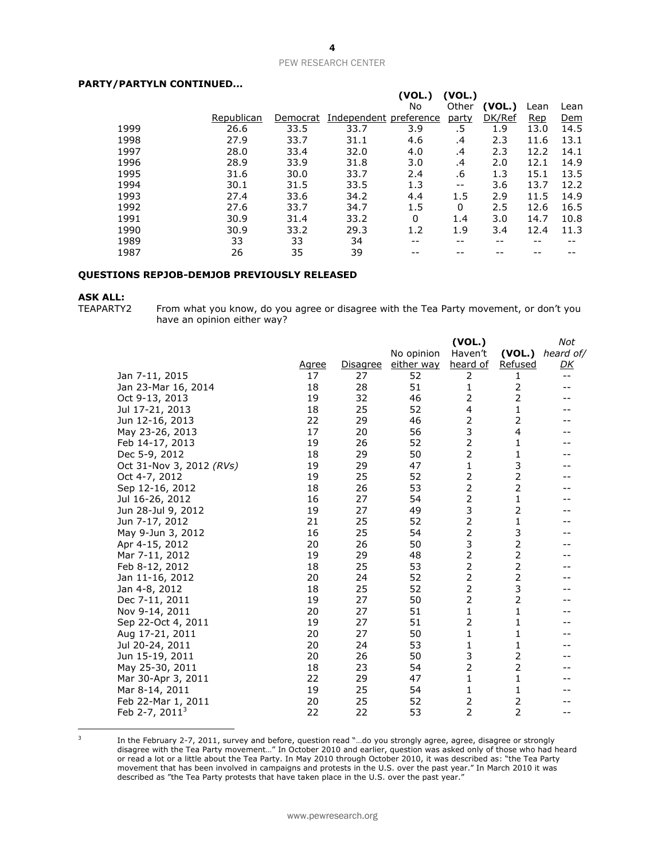## **PARTY/PARTYLN CONTINUED...**

|            |          |      | (VOL.)   |                        |        |            |            |
|------------|----------|------|----------|------------------------|--------|------------|------------|
|            |          |      | No       | Other                  | (VOL.) | Lean       | Lean       |
| Republican | Democrat |      |          | party                  | DK/Ref | <b>Rep</b> | <u>Dem</u> |
| 26.6       | 33.5     | 33.7 | 3.9      | .5                     | 1.9    | 13.0       | 14.5       |
| 27.9       | 33.7     | 31.1 | 4.6      | .4                     | 2.3    | 11.6       | 13.1       |
| 28.0       | 33.4     | 32.0 | 4.0      | .4                     | 2.3    | 12.2       | 14.1       |
| 28.9       | 33.9     | 31.8 | 3.0      | .4                     | 2.0    | 12.1       | 14.9       |
| 31.6       | 30.0     | 33.7 | 2.4      | .6                     | 1.3    | 15.1       | 13.5       |
| 30.1       | 31.5     | 33.5 | 1.3      | $- -$                  | 3.6    | 13.7       | 12.2       |
| 27.4       | 33.6     | 34.2 | 4.4      | 1.5                    | 2.9    | 11.5       | 14.9       |
| 27.6       | 33.7     | 34.7 | 1.5      | 0                      | 2.5    | 12.6       | 16.5       |
| 30.9       | 31.4     | 33.2 | $\Omega$ | 1.4                    | 3.0    | 14.7       | 10.8       |
| 30.9       | 33.2     | 29.3 | 1.2      | 1.9                    | 3.4    | 12.4       | 11.3       |
| 33         | 33       | 34   | --       | --                     | --     | --         |            |
| 26         | 35       | 39   |          |                        |        |            |            |
|            |          |      |          | Independent preference | (VOL.) |            |            |

#### **QUESTIONS REPJOB-DEMJOB PREVIOUSLY RELEASED**

# **ASK ALL:**

From what you know, do you agree or disagree with the Tea Party movement, or don't you have an opinion either way?

|                          |              |                 |            | (VOL.)         |                | Not               |
|--------------------------|--------------|-----------------|------------|----------------|----------------|-------------------|
|                          |              |                 | No opinion | Haven't        | (VOL.)         | heard of/         |
|                          | <u>Agree</u> | <b>Disagree</b> | either way | heard of       | Refused        | <u>DК</u>         |
| Jan 7-11, 2015           | 17           | 27              | 52         | 2              | 1              | $\qquad \qquad -$ |
| Jan 23-Mar 16, 2014      | 18           | 28              | 51         | 1              | 2              |                   |
| Oct 9-13, 2013           | 19           | 32              | 46         | 2              | $\overline{2}$ |                   |
| Jul 17-21, 2013          | 18           | 25              | 52         | 4              | 1              |                   |
| Jun 12-16, 2013          | 22           | 29              | 46         | 2              | 2              |                   |
| May 23-26, 2013          | 17           | 20              | 56         | 3              | 4              |                   |
| Feb 14-17, 2013          | 19           | 26              | 52         | $\overline{2}$ | 1              |                   |
| Dec 5-9, 2012            | 18           | 29              | 50         | $\overline{2}$ | $\mathbf{1}$   |                   |
| Oct 31-Nov 3, 2012 (RVs) | 19           | 29              | 47         | 1              | 3              |                   |
| Oct 4-7, 2012            | 19           | 25              | 52         | 2              | $\overline{2}$ |                   |
| Sep 12-16, 2012          | 18           | 26              | 53         | $\overline{2}$ | $\overline{2}$ |                   |
| Jul 16-26, 2012          | 16           | 27              | 54         | $\overline{2}$ | $\mathbf 1$    |                   |
| Jun 28-Jul 9, 2012       | 19           | 27              | 49         | 3              | $\overline{2}$ |                   |
| Jun 7-17, 2012           | 21           | 25              | 52         | 2              | 1              |                   |
| May 9-Jun 3, 2012        | 16           | 25              | 54         | $\overline{2}$ | 3              |                   |
| Apr 4-15, 2012           | 20           | 26              | 50         | 3              | $\overline{2}$ |                   |
| Mar 7-11, 2012           | 19           | 29              | 48         | $\overline{2}$ | $\overline{2}$ |                   |
| Feb 8-12, 2012           | 18           | 25              | 53         | $\overline{2}$ | $\overline{2}$ |                   |
| Jan 11-16, 2012          | 20           | 24              | 52         | 2              | $\overline{2}$ |                   |
| Jan 4-8, 2012            | 18           | 25              | 52         | $\overline{2}$ | 3              |                   |
| Dec 7-11, 2011           | 19           | 27              | 50         | 2              | 2              |                   |
| Nov 9-14, 2011           | 20           | 27              | 51         | 1              | $\mathbf{1}$   |                   |
| Sep 22-Oct 4, 2011       | 19           | 27              | 51         | 2              | $\mathbf{1}$   |                   |
| Aug 17-21, 2011          | 20           | 27              | 50         | 1              | $\mathbf{1}$   |                   |
| Jul 20-24, 2011          | 20           | 24              | 53         | $\mathbf{1}$   | 1              |                   |
| Jun 15-19, 2011          | 20           | 26              | 50         | 3              | $\overline{2}$ |                   |
| May 25-30, 2011          | 18           | 23              | 54         | 2              | $\overline{2}$ |                   |
| Mar 30-Apr 3, 2011       | 22           | 29              | 47         | 1              | 1              |                   |
| Mar 8-14, 2011           | 19           | 25              | 54         | 1              | 1              |                   |
| Feb 22-Mar 1, 2011       | 20           | 25              | 52         | 2              | 2              |                   |
| Feb 2-7, $20113$         | 22           | 22              | 53         | $\overline{2}$ | $\overline{2}$ |                   |

 3

In the February 2-7, 2011, survey and before, question read "…do you strongly agree, agree, disagree or strongly disagree with the Tea Party movement…" In October 2010 and earlier, question was asked only of those who had heard or read a lot or a little about the Tea Party. In May 2010 through October 2010, it was described as: "the Tea Party movement that has been involved in campaigns and protests in the U.S. over the past year." In March 2010 it was described as "the Tea Party protests that have taken place in the U.S. over the past year."